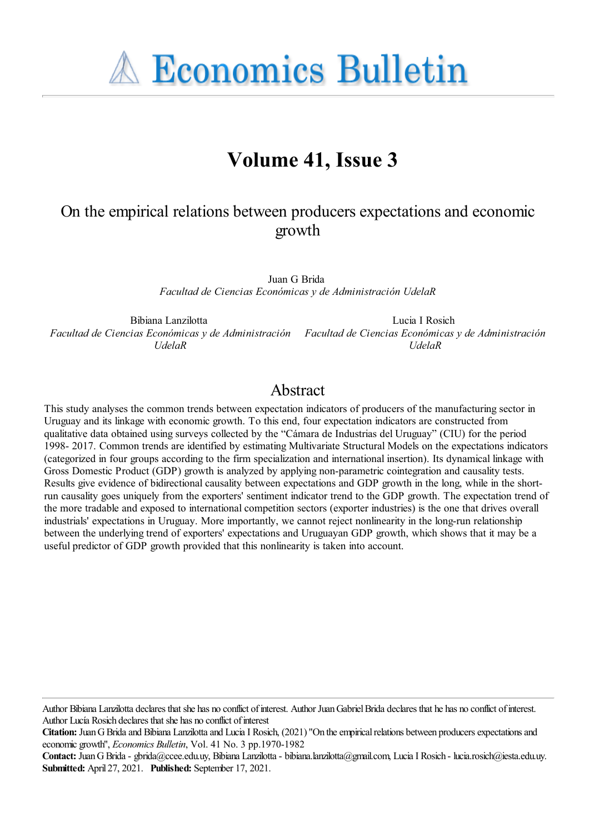**A Economics Bulletin** 

# **Volume 41, Issue 3**

## On the empirical relations between producers expectations and economic growth

Juan G Brida *Facultad de Ciencias Económicas y de Administración UdelaR*

Bibiana Lanzilotta *Facultad de Ciencias Económicas y de Administración Facultad de Ciencias Económicas y de Administración UdelaR*

Lucia I Rosich *UdelaR*

## Abstract

This study analyses the common trends between expectation indicators of producers of the manufacturing sector in Uruguay and its linkage with economic growth. To this end, four expectation indicators are constructed from qualitative data obtained using surveys collected by the "Cámara de Industrias del Uruguay" (CIU) for the period 1998- 2017. Common trends are identified by estimating Multivariate Structural Models on the expectations indicators (categorized in four groups according to the firm specialization and international insertion). Its dynamical linkage with Gross Domestic Product (GDP) growth is analyzed by applying non-parametric cointegration and causality tests. Results give evidence of bidirectional causality between expectations and GDP growth in the long, while in the shortrun causality goes uniquely from the exporters' sentiment indicator trend to the GDP growth. The expectation trend of the more tradable and exposed to international competition sectors (exporter industries) is the one that drives overall industrials' expectations in Uruguay. More importantly, we cannot reject nonlinearity in the long-run relationship between the underlying trend of exporters' expectations and Uruguayan GDP growth, which shows that it may be a useful predictor of GDP growth provided that this nonlinearity is taken into account.

Author Bibiana Lanzilotta declares that she has no conflict of interest. Author Juan Gabriel Brida declares that he has no conflict of interest. Author Lucía Rosich declares that she has no conflict of interest

**Citation:** Juan G Brida and Bibiana Lanzilotta and Lucia I Rosich, (2021) "On the empirical relations between producers expectations and economic growth'', *Economics Bulletin*, Vol. 41 No. 3 pp.1970-1982

**Contact:** JuanGBrida- gbrida@ccee.edu.uy, Bibiana Lanzilotta- bibiana.lanzilotta@gmail.com, LuciaI Rosich - lucia.rosich@iesta.edu.uy. **Submitted:** April 27, 2021. **Published:** September 17, 2021.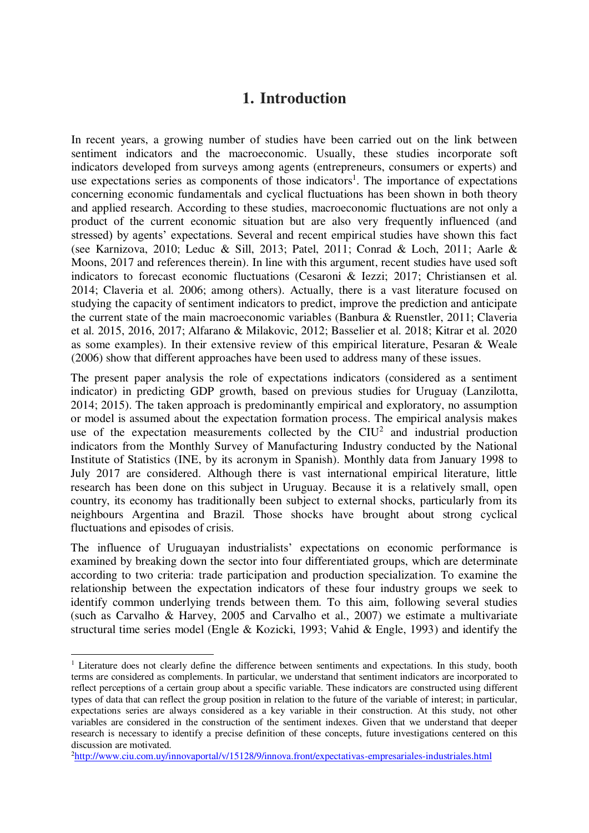## **1. Introduction**

In recent years, a growing number of studies have been carried out on the link between sentiment indicators and the macroeconomic. Usually, these studies incorporate soft indicators developed from surveys among agents (entrepreneurs, consumers or experts) and use expectations series as components of those indicators<sup>1</sup>. The importance of expectations concerning economic fundamentals and cyclical fluctuations has been shown in both theory and applied research. According to these studies, macroeconomic fluctuations are not only a product of the current economic situation but are also very frequently influenced (and stressed) by agents' expectations. Several and recent empirical studies have shown this fact (see Karnizova, 2010; Leduc & Sill, 2013; Patel, 2011; Conrad & Loch, 2011; Aarle & Moons, 2017 and references therein). In line with this argument, recent studies have used soft indicators to forecast economic fluctuations (Cesaroni & Iezzi; 2017; Christiansen et al. 2014; Claveria et al. 2006; among others). Actually, there is a vast literature focused on studying the capacity of sentiment indicators to predict, improve the prediction and anticipate the current state of the main macroeconomic variables (Banbura & Ruenstler, 2011; Claveria et al. 2015, 2016, 2017; Alfarano & Milakovic, 2012; Basselier et al. 2018; Kitrar et al. 2020 as some examples). In their extensive review of this empirical literature, Pesaran & Weale (2006) show that different approaches have been used to address many of these issues.

The present paper analysis the role of expectations indicators (considered as a sentiment indicator) in predicting GDP growth, based on previous studies for Uruguay (Lanzilotta, 2014; 2015). The taken approach is predominantly empirical and exploratory, no assumption or model is assumed about the expectation formation process. The empirical analysis makes use of the expectation measurements collected by the  $\text{ClU}^2$  and industrial production indicators from the Monthly Survey of Manufacturing Industry conducted by the National Institute of Statistics (INE, by its acronym in Spanish). Monthly data from January 1998 to July 2017 are considered. Although there is vast international empirical literature, little research has been done on this subject in Uruguay. Because it is a relatively small, open country, its economy has traditionally been subject to external shocks, particularly from its neighbours Argentina and Brazil. Those shocks have brought about strong cyclical fluctuations and episodes of crisis.

The influence of Uruguayan industrialists' expectations on economic performance is examined by breaking down the sector into four differentiated groups, which are determinate according to two criteria: trade participation and production specialization. To examine the relationship between the expectation indicators of these four industry groups we seek to identify common underlying trends between them. To this aim, following several studies (such as Carvalho & Harvey, 2005 and Carvalho et al., 2007) we estimate a multivariate structural time series model (Engle & Kozicki, 1993; Vahid & Engle, 1993) and identify the

 $\overline{a}$ 

<sup>&</sup>lt;sup>1</sup> Literature does not clearly define the difference between sentiments and expectations. In this study, booth terms are considered as complements. In particular, we understand that sentiment indicators are incorporated to reflect perceptions of a certain group about a specific variable. These indicators are constructed using different types of data that can reflect the group position in relation to the future of the variable of interest; in particular, expectations series are always considered as a key variable in their construction. At this study, not other variables are considered in the construction of the sentiment indexes. Given that we understand that deeper research is necessary to identify a precise definition of these concepts, future investigations centered on this discussion are motivated.

<sup>2</sup><http://www.ciu.com.uy/innovaportal/v/15128/9/innova.front/expectativas-empresariales-industriales.html>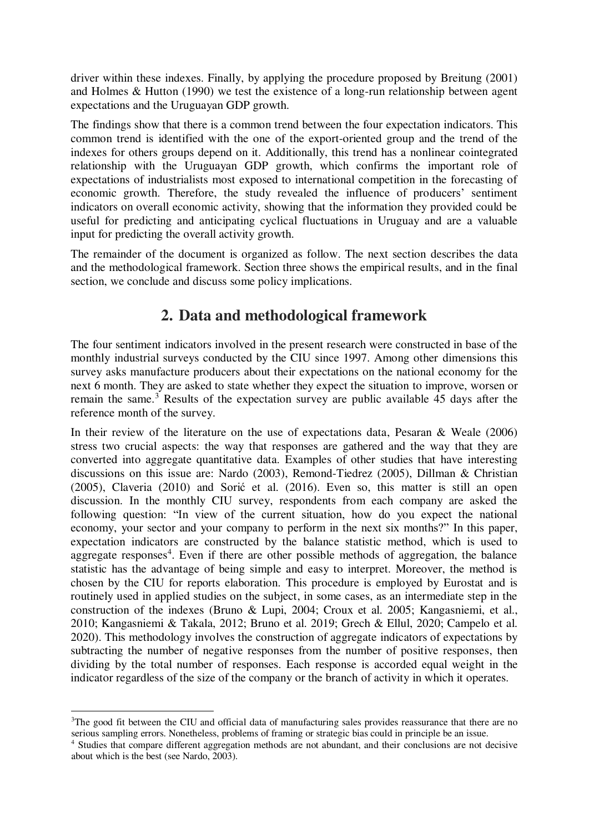driver within these indexes. Finally, by applying the procedure proposed by Breitung (2001) and Holmes & Hutton (1990) we test the existence of a long-run relationship between agent expectations and the Uruguayan GDP growth.

The findings show that there is a common trend between the four expectation indicators. This common trend is identified with the one of the export-oriented group and the trend of the indexes for others groups depend on it. Additionally, this trend has a nonlinear cointegrated relationship with the Uruguayan GDP growth, which confirms the important role of expectations of industrialists most exposed to international competition in the forecasting of economic growth. Therefore, the study revealed the influence of producers' sentiment indicators on overall economic activity, showing that the information they provided could be useful for predicting and anticipating cyclical fluctuations in Uruguay and are a valuable input for predicting the overall activity growth.

The remainder of the document is organized as follow. The next section describes the data and the methodological framework. Section three shows the empirical results, and in the final section, we conclude and discuss some policy implications.

## **2. Data and methodological framework**

The four sentiment indicators involved in the present research were constructed in base of the monthly industrial surveys conducted by the CIU since 1997. Among other dimensions this survey asks manufacture producers about their expectations on the national economy for the next 6 month. They are asked to state whether they expect the situation to improve, worsen or remain the same.<sup>3</sup> Results of the expectation survey are public available 45 days after the reference month of the survey.

In their review of the literature on the use of expectations data, Pesaran & Weale (2006) stress two crucial aspects: the way that responses are gathered and the way that they are converted into aggregate quantitative data. Examples of other studies that have interesting discussions on this issue are: Nardo (2003), Remond-Tiedrez (2005), Dillman & Christian (2005), Claveria (2010) and Sorić et al. (2016). Even so, this matter is still an open discussion. In the monthly CIU survey, respondents from each company are asked the following question: "In view of the current situation, how do you expect the national economy, your sector and your company to perform in the next six months?" In this paper, expectation indicators are constructed by the balance statistic method, which is used to aggregate responses<sup>4</sup>. Even if there are other possible methods of aggregation, the balance statistic has the advantage of being simple and easy to interpret. Moreover, the method is chosen by the CIU for reports elaboration. This procedure is employed by Eurostat and is routinely used in applied studies on the subject, in some cases, as an intermediate step in the construction of the indexes (Bruno & Lupi, 2004; Croux et al. 2005; Kangasniemi, et al., 2010; Kangasniemi & Takala, 2012; Bruno et al. 2019; Grech & Ellul, 2020; Campelo et al. 2020). This methodology involves the construction of aggregate indicators of expectations by subtracting the number of negative responses from the number of positive responses, then dividing by the total number of responses. Each response is accorded equal weight in the indicator regardless of the size of the company or the branch of activity in which it operates.

 $\overline{a}$ 

<sup>&</sup>lt;sup>3</sup>The good fit between the CIU and official data of manufacturing sales provides reassurance that there are no serious sampling errors. Nonetheless, problems of framing or strategic bias could in principle be an issue.

<sup>4</sup> Studies that compare different aggregation methods are not abundant, and their conclusions are not decisive about which is the best (see Nardo, 2003).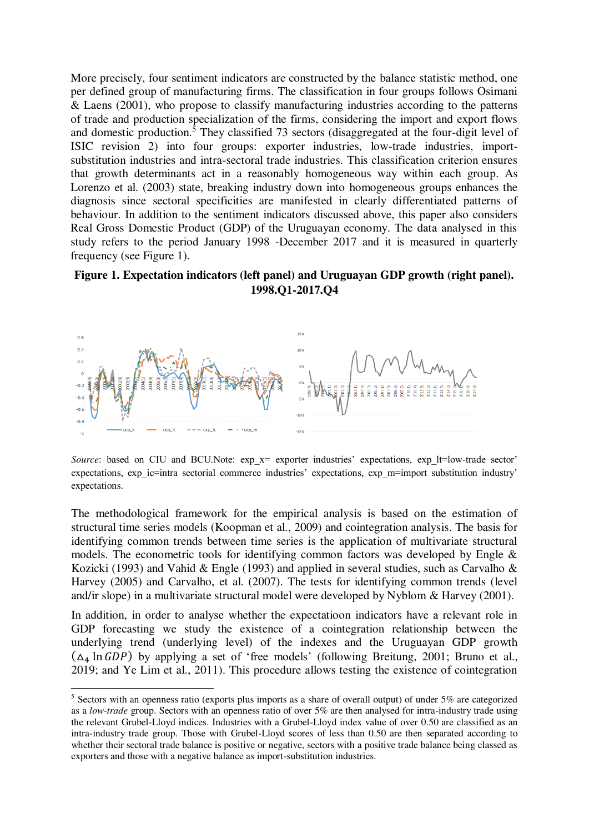More precisely, four sentiment indicators are constructed by the balance statistic method, one per defined group of manufacturing firms. The classification in four groups follows Osimani & Laens (2001), who propose to classify manufacturing industries according to the patterns of trade and production specialization of the firms, considering the import and export flows and domestic production.<sup>5</sup> They classified 73 sectors (disaggregated at the four-digit level of ISIC revision 2) into four groups: exporter industries, low-trade industries, importsubstitution industries and intra-sectoral trade industries. This classification criterion ensures that growth determinants act in a reasonably homogeneous way within each group. As Lorenzo et al. (2003) state, breaking industry down into homogeneous groups enhances the diagnosis since sectoral specificities are manifested in clearly differentiated patterns of behaviour. In addition to the sentiment indicators discussed above, this paper also considers Real Gross Domestic Product (GDP) of the Uruguayan economy. The data analysed in this study refers to the period January 1998 -December 2017 and it is measured in quarterly frequency (see Figure 1).

#### **Figure 1. Expectation indicators (left panel) and Uruguayan GDP growth (right panel). 1998.Q1-2017.Q4**



*Source*: based on CIU and BCU.Note: exp\_x= exporter industries' expectations, exp\_lt=low-trade sector' expectations, exp\_ic=intra sectorial commerce industries' expectations, exp\_m=import substitution industry' expectations.

The methodological framework for the empirical analysis is based on the estimation of structural time series models (Koopman et al., 2009) and cointegration analysis. The basis for identifying common trends between time series is the application of multivariate structural models. The econometric tools for identifying common factors was developed by Engle & Kozicki (1993) and Vahid & Engle (1993) and applied in several studies, such as Carvalho & Harvey (2005) and Carvalho, et al. (2007). The tests for identifying common trends (level and/ir slope) in a multivariate structural model were developed by Nyblom & Harvey (2001).

In addition, in order to analyse whether the expectatioon indicators have a relevant role in GDP forecasting we study the existence of a cointegration relationship between the underlying trend (underlying level) of the indexes and the Uruguayan GDP growth  $(\Delta_4 \ln GDP)$  by applying a set of 'free models' (following Breitung, 2001; Bruno et al., 2019; and Ye Lim et al., 2011). This procedure allows testing the existence of cointegration

 $\overline{a}$ 

<sup>&</sup>lt;sup>5</sup> Sectors with an openness ratio (exports plus imports as a share of overall output) of under 5% are categorized as a *low-trade* group. Sectors with an openness ratio of over 5% are then analysed for intra-industry trade using the relevant Grubel-Lloyd indices. Industries with a Grubel-Lloyd index value of over 0.50 are classified as an intra-industry trade group. Those with Grubel-Lloyd scores of less than 0.50 are then separated according to whether their sectoral trade balance is positive or negative, sectors with a positive trade balance being classed as exporters and those with a negative balance as import-substitution industries.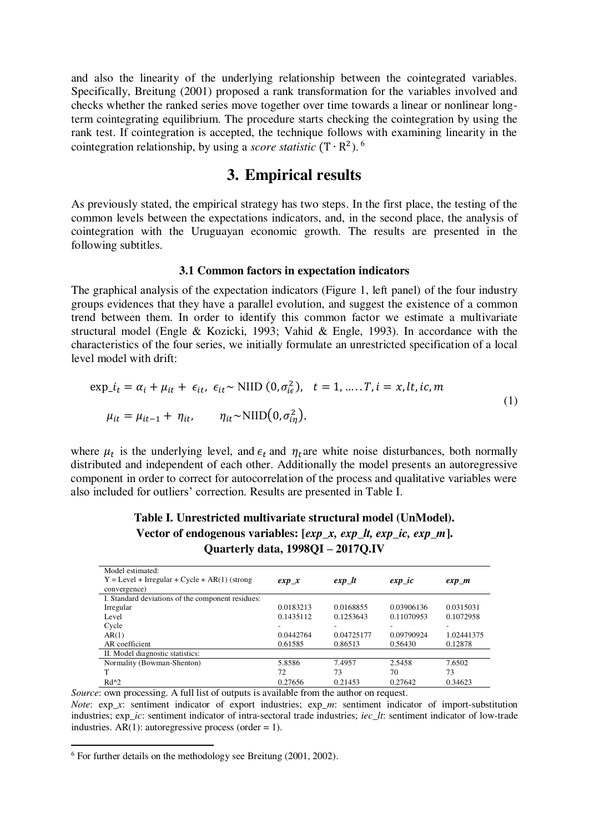and also the linearity of the underlying relationship between the cointegrated variables. Specifically, Breitung (2001) proposed a rank transformation for the variables involved and checks whether the ranked series move together over time towards a linear or nonlinear longterm cointegrating equilibrium. The procedure starts checking the cointegration by using the rank test. If cointegration is accepted, the technique follows with examining linearity in the cointegration relationship, by using a *score statistic*  $(T \cdot R^2)$ .<sup>6</sup>

### **3. Empirical results**

As previously stated, the empirical strategy has two steps. In the first place, the testing of the common levels between the expectations indicators, and, in the second place, the analysis of cointegration with the Uruguayan economic growth. The results are presented in the following subtitles.

#### **3.1 Common factors in expectation indicators**

The graphical analysis of the expectation indicators (Figure 1, left panel) of the four industry groups evidences that they have a parallel evolution, and suggest the existence of a common trend between them. In order to identify this common factor we estimate a multivariate structural model (Engle & Kozicki, 1993; Vahid & Engle, 1993). In accordance with the characteristics of the four series, we initially formulate an unrestricted specification of a local level model with drift:

$$
\exp_{-}i_{t} = \alpha_{i} + \mu_{it} + \epsilon_{it}, \ \epsilon_{it} \sim \text{NID}(0, \sigma_{ie}^{2}), \quad t = 1, \dots, T, i = x, lt, ic, m
$$
\n
$$
\mu_{it} = \mu_{it-1} + \eta_{it}, \qquad \eta_{it} \sim \text{NID}(0, \sigma_{in}^{2}), \tag{1}
$$

where  $\mu_t$  is the underlying level, and  $\epsilon_t$  and  $\eta_t$  are white noise disturbances, both normally distributed and independent of each other. Additionally the model presents an autoregressive component in order to correct for autocorrelation of the process and qualitative variables were also included for outliers' correction. Results are presented in Table I.

| exp x     | $exp$ lt   | $exp\_ic$  | $exp$ $m$                |
|-----------|------------|------------|--------------------------|
|           |            |            |                          |
|           |            |            |                          |
| 0.0183213 | 0.0168855  | 0.03906136 | 0.0315031                |
| 0.1435112 | 0.1253643  | 0.11070953 | 0.1072958                |
| $\sim$    |            |            | $\overline{\phantom{a}}$ |
| 0.0442764 | 0.04725177 | 0.09790924 | 1.02441375               |
| 0.61585   | 0.86513    | 0.56430    | 0.12878                  |
|           |            |            |                          |
| 5.8586    | 7.4957     | 2.5458     | 7.6502                   |
| 72        | 73         | 70         | 73                       |
| 0.27656   | 0.21453    | 0.27642    | 0.34623                  |
|           |            |            |                          |

**Table I. Unrestricted multivariate structural model (UnModel). Vector of endogenous variables: [***exp\_x, exp\_lt, exp\_ic, exp\_m***]. Quarterly data, 1998QI – 2017Q.IV** 

*Source*: own processing. A full list of outputs is available from the author on request.

*Note*: exp*\_x*: sentiment indicator of export industries; exp*\_m*: sentiment indicator of import-substitution industries; exp*\_ic*: sentiment indicator of intra-sectoral trade industries; *iec\_lt*: sentiment indicator of low-trade industries.  $AR(1)$ : autoregressive process (order = 1).

l,

<sup>6</sup> For further details on the methodology see Breitung (2001, 2002).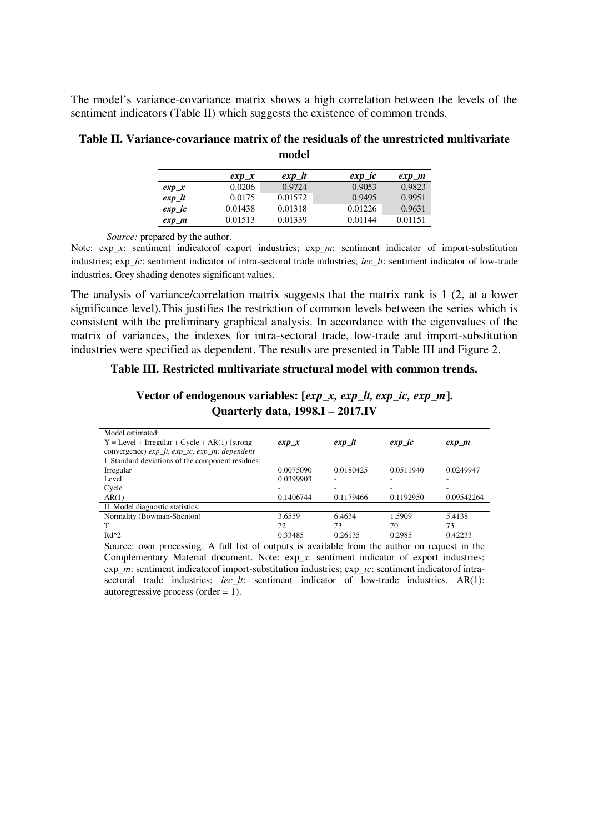The model's variance-covariance matrix shows a high correlation between the levels of the sentiment indicators (Table II) which suggests the existence of common trends.

|           | $exp_x$ | $exp_l$ | $exp\_ic$ | $exp_{-}m$ |
|-----------|---------|---------|-----------|------------|
| $exp_x$   | 0.0206  | 0.9724  | 0.9053    | 0.9823     |
| $exp_l$   | 0.0175  | 0.01572 | 0.9495    | 0.9951     |
| $exp\_ic$ | 0.01438 | 0.01318 | 0.01226   | 0.9631     |
| $exp_{M}$ | 0.01513 | 0.01339 | 0.01144   | 0.01151    |

**Table II. Variance-covariance matrix of the residuals of the unrestricted multivariate model**

*Source:* prepared by the author.

Note: exp*\_x*: sentiment indicatorof export industries; exp*\_m*: sentiment indicator of import-substitution industries; exp*\_ic*: sentiment indicator of intra-sectoral trade industries; *iec\_lt*: sentiment indicator of low-trade industries. Grey shading denotes significant values.

The analysis of variance/correlation matrix suggests that the matrix rank is 1 (2, at a lower significance level).This justifies the restriction of common levels between the series which is consistent with the preliminary graphical analysis. In accordance with the eigenvalues of the matrix of variances, the indexes for intra-sectoral trade, low-trade and import-substitution industries were specified as dependent. The results are presented in Table III and Figure 2.

#### **Table III. Restricted multivariate structural model with common trends.**

**Vector of endogenous variables: [***exp\_x, exp\_lt, exp\_ic, exp\_m***]. Quarterly data, 1998.I – 2017.IV** 

| Model estimated:                                  |           |           |           |            |
|---------------------------------------------------|-----------|-----------|-----------|------------|
| $Y = Level + Irregular + Cycle + AR(1)$ (strong   | exp x     | exp lt    | $exp\_ic$ | $exp$ $m$  |
| convergence) exp_lt, exp_ic, exp_m: dependent     |           |           |           |            |
| I. Standard deviations of the component residues: |           |           |           |            |
| Irregular                                         | 0.0075090 | 0.0180425 | 0.0511940 | 0.0249947  |
| Level                                             | 0.0399903 |           |           |            |
| Cycle                                             |           |           |           |            |
| AR(1)                                             | 0.1406744 | 0.1179466 | 0.1192950 | 0.09542264 |
| II. Model diagnostic statistics:                  |           |           |           |            |
| Normality (Bowman-Shenton)                        | 3.6559    | 6.4634    | 1.5909    | 5.4138     |
| т                                                 | 72        | 73        | 70        | 73         |
| $Rd^{2}$                                          | 0.33485   | 0.26135   | 0.2985    | 0.42233    |
|                                                   |           |           |           |            |

Source: own processing. A full list of outputs is available from the author on request in the Complementary Material document. Note: exp*\_x*: sentiment indicator of export industries; exp*\_m*: sentiment indicatorof import-substitution industries; exp*\_ic*: sentiment indicatorof intrasectoral trade industries: *iec lt*: sentiment indicator of low-trade industries. AR(1): autoregressive process (order  $= 1$ ).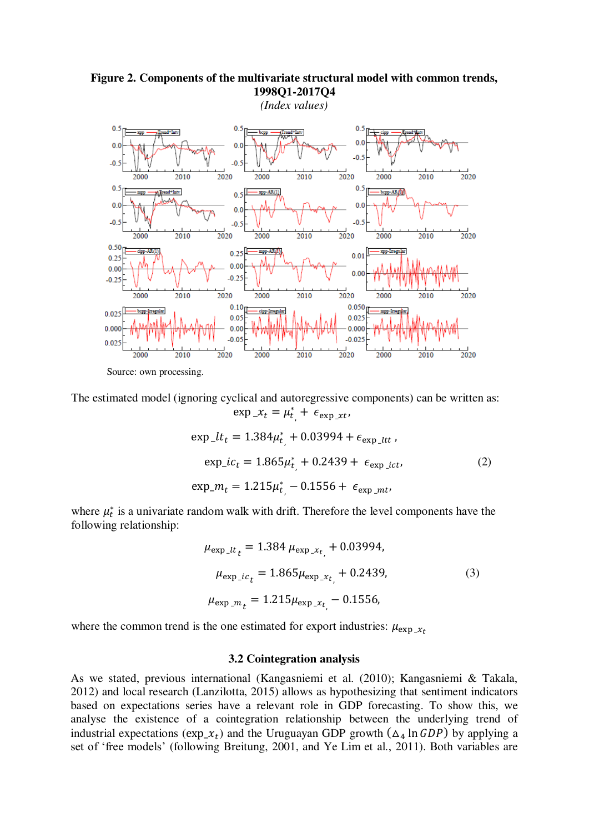

**Figure 2. Components of the multivariate structural model with common trends, 1998Q1-2017Q4**

The estimated model (ignoring cyclical and autoregressive components) can be written as:  $\exp x_t = \mu_t^*$  $, + \epsilon_{\exp{\chi t}},$ 

$$
\exp_{-}lt_{t} = 1.384\mu_{t}^{*} + 0.03994 + \epsilon_{\exp_{-}ltt},
$$
  
\n
$$
\exp_{-}ic_{t} = 1.865\mu_{t}^{*} + 0.2439 + \epsilon_{\exp_{-}ict},
$$
  
\n
$$
\exp_{-}m_{t} = 1.215\mu_{t}^{*} - 0.1556 + \epsilon_{\exp_{-}mt},
$$
\n(2)

where  $\mu_t^*$  is a univariate random walk with drift. Therefore the level components have the following relationship:

$$
\mu_{\exp_{-}lt_{t}} = 1.384 \mu_{\exp_{-}xt_{t}} + 0.03994,
$$
  
\n
$$
\mu_{\exp_{-}ic_{t}} = 1.865 \mu_{\exp_{-}xt_{t}} + 0.2439,
$$
  
\n
$$
\mu_{\exp_{-}m_{t}} = 1.215 \mu_{\exp_{-}xt_{t}} - 0.1556,
$$
\n(3)

where the common trend is the one estimated for export industries:  $\mu_{\text{exp}}$   $\chi_t$ 

#### **3.2 Cointegration analysis**

As we stated, previous international (Kangasniemi et al. (2010); Kangasniemi & Takala, 2012) and local research (Lanzilotta, 2015) allows as hypothesizing that sentiment indicators based on expectations series have a relevant role in GDP forecasting. To show this, we analyse the existence of a cointegration relationship between the underlying trend of industrial expectations ( $\exp(x_t)$ ) and the Uruguayan GDP growth ( $\Delta_4$  ln  $GDP$ ) by applying a set of 'free models' (following Breitung, 2001, and Ye Lim et al., 2011). Both variables are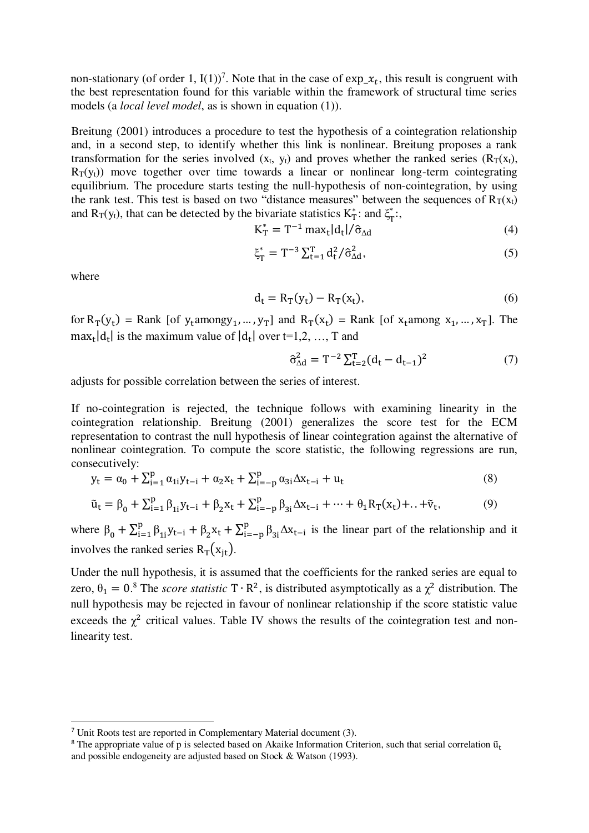non-stationary (of order 1,  $I(1)$ )<sup>7</sup>. Note that in the case of  $\exp \ x_t$ , this result is congruent with the best representation found for this variable within the framework of structural time series models (a *local level model*, as is shown in equation (1)).

Breitung (2001) introduces a procedure to test the hypothesis of a cointegration relationship and, in a second step, to identify whether this link is nonlinear. Breitung proposes a rank transformation for the series involved  $(x_t, y_t)$  and proves whether the ranked series  $(R_T(x_t),$  $R_T(v_t)$ ) move together over time towards a linear or nonlinear long-term cointegrating equilibrium. The procedure starts testing the null-hypothesis of non-cointegration, by using the rank test. This test is based on two "distance measures" between the sequences of  $R_T(x_t)$ and  $R_T(y_t)$ , that can be detected by the bivariate statistics  $K_T^*$ : and  $\xi_T^*$ \*<br>т''

$$
K_{\rm T}^* = T^{-1} \max_t |d_t| / \hat{\sigma}_{\Delta d} \tag{4}
$$

$$
\xi_T^* = T^{-3} \sum_{t=1}^T d_t^2 / \hat{\sigma}_{\Delta d}^2,\tag{5}
$$

where

 $\overline{a}$ 

$$
d_t = R_T(y_t) - R_T(x_t),\tag{6}
$$

for  $R_T(y_t)$  = Rank [of y<sub>t</sub>amongy<sub>1</sub>, ..., y<sub>T</sub>] and  $R_T(x_t)$  = Rank [of x<sub>t</sub>among x<sub>1</sub>, ..., x<sub>T</sub>]. The  $\max_t |d_t|$  is the maximum value of  $|d_t|$  over  $t=1,2, ..., T$  and

$$
\hat{\sigma}_{\Delta d}^2 = T^{-2} \sum_{t=2}^{T} (d_t - d_{t-1})^2
$$
 (7)

adjusts for possible correlation between the series of interest.

If no-cointegration is rejected, the technique follows with examining linearity in the cointegration relationship. Breitung (2001) generalizes the score test for the ECM representation to contrast the null hypothesis of linear cointegration against the alternative of nonlinear cointegration. To compute the score statistic, the following regressions are run, consecutively:

$$
y_{t} = \alpha_{0} + \sum_{i=1}^{p} \alpha_{1i} y_{t-i} + \alpha_{2} x_{t} + \sum_{i=-p}^{p} \alpha_{3i} \Delta x_{t-i} + u_{t}
$$
\n(8)

$$
\tilde{u}_t = \beta_0 + \sum_{i=1}^p \beta_{1i} y_{t-i} + \beta_2 x_t + \sum_{i=-p}^p \beta_{3i} \Delta x_{t-i} + \dots + \theta_1 R_T(x_t) + \dots + \tilde{v}_t,
$$
\n(9)

where  $\beta_0 + \sum_{i=1}^p \beta_{1i} y_{t-i} + \beta_2 x_t + \sum_{i=-p}^p \beta_{3i} \Delta x_{t-i}$  is the linear part of the relationship and it involves the ranked series  $R_T(x_{it})$ .

Under the null hypothesis, it is assumed that the coefficients for the ranked series are equal to zero,  $\theta_1 = 0$ .<sup>8</sup> The *score statistic* T ⋅ R<sup>2</sup>, is distributed asymptotically as a  $\chi^2$  distribution. The null hypothesis may be rejected in favour of nonlinear relationship if the score statistic value exceeds the  $\chi^2$  critical values. Table IV shows the results of the cointegration test and nonlinearity test.

<sup>7</sup> Unit Roots test are reported in Complementary Material document (3).

<sup>&</sup>lt;sup>8</sup> The appropriate value of p is selected based on Akaike Information Criterion, such that serial correlation  $\tilde{u}_t$ and possible endogeneity are adjusted based on Stock & Watson (1993).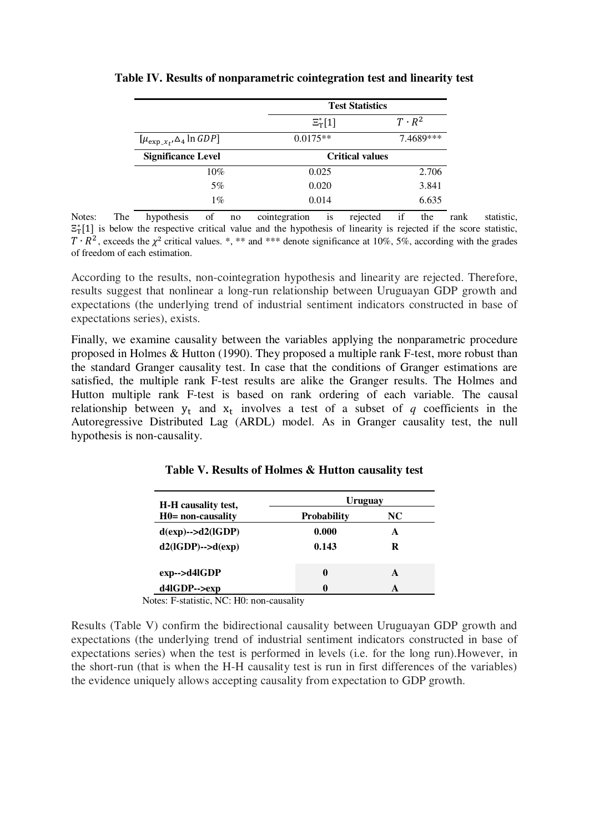|                                      |                    | <b>Test Statistics</b> |  |  |
|--------------------------------------|--------------------|------------------------|--|--|
|                                      | $\Xi_{\rm T}^*[1]$ | $T \cdot R^2$          |  |  |
| $[\mu_{\exp(x_t)} \Delta_4 \ln GDP]$ | $0.0175**$         | 7.4689***              |  |  |
| <b>Significance Level</b>            |                    | <b>Critical values</b> |  |  |
| 10%                                  | 0.025              | 2.706                  |  |  |
| 5%                                   | 0.020              | 3.841                  |  |  |
| $1\%$                                | 0.014              | 6.635                  |  |  |

#### **Table IV. Results of nonparametric cointegration test and linearity test**

Notes: The hypothesis of no cointegration is rejected if the rank statistic,  $\Xi_{\rm T}^{*}[1]$  is below the respective critical value and the hypothesis of linearity is rejected if the score statistic,  $T \cdot R^2$ , exceeds the  $\chi^2$  critical values. \*, \*\* and \*\*\* denote significance at 10%, 5%, according with the grades of freedom of each estimation.

According to the results, non-cointegration hypothesis and linearity are rejected. Therefore, results suggest that nonlinear a long-run relationship between Uruguayan GDP growth and expectations (the underlying trend of industrial sentiment indicators constructed in base of expectations series), exists.

Finally, we examine causality between the variables applying the nonparametric procedure proposed in Holmes & Hutton (1990). They proposed a multiple rank F-test, more robust than the standard Granger causality test. In case that the conditions of Granger estimations are satisfied, the multiple rank F-test results are alike the Granger results. The Holmes and Hutton multiple rank F-test is based on rank ordering of each variable. The causal relationship between  $y_t$  and  $x_t$  involves a test of a subset of *q* coefficients in the Autoregressive Distributed Lag (ARDL) model. As in Granger causality test, the null hypothesis is non-causality.

| H-H causality test,<br>$H0 = non-causality$ | Uruguay            |    |  |  |
|---------------------------------------------|--------------------|----|--|--|
|                                             | <b>Probability</b> | NC |  |  |
| $d(exp)$ --> $d2(GDP)$                      | 0.000              | A  |  |  |
| $d2$ (IGDP)--> $d(exp)$                     | 0.143              | R  |  |  |
| $exp\rightarrow d4lGDP$                     | 0                  | A  |  |  |
| d4lGDP-->exp                                | 0                  |    |  |  |

Notes: F-statistic, NC: H0: non-causality

Results (Table V) confirm the bidirectional causality between Uruguayan GDP growth and expectations (the underlying trend of industrial sentiment indicators constructed in base of expectations series) when the test is performed in levels (i.e. for the long run).However, in the short-run (that is when the H-H causality test is run in first differences of the variables) the evidence uniquely allows accepting causality from expectation to GDP growth.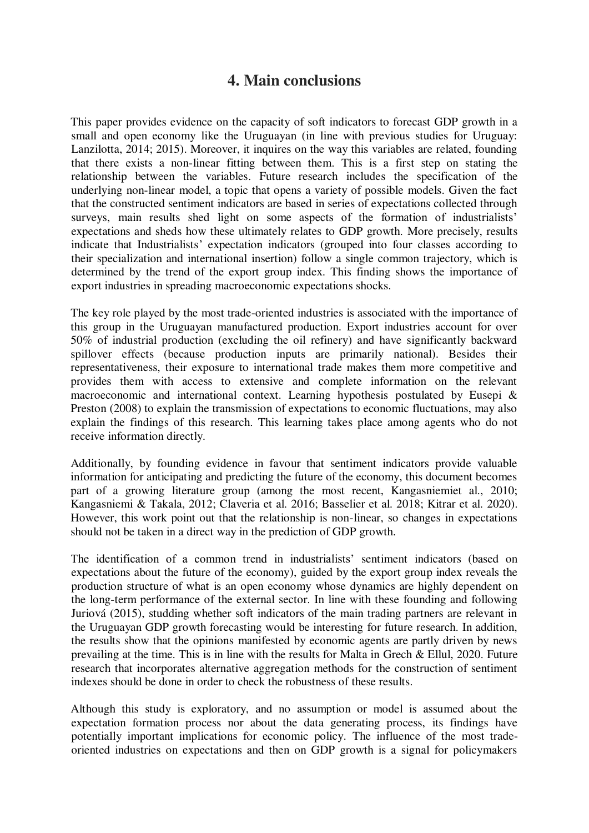## **4. Main conclusions**

This paper provides evidence on the capacity of soft indicators to forecast GDP growth in a small and open economy like the Uruguayan (in line with previous studies for Uruguay: Lanzilotta, 2014; 2015). Moreover, it inquires on the way this variables are related, founding that there exists a non-linear fitting between them. This is a first step on stating the relationship between the variables. Future research includes the specification of the underlying non-linear model, a topic that opens a variety of possible models. Given the fact that the constructed sentiment indicators are based in series of expectations collected through surveys, main results shed light on some aspects of the formation of industrialists' expectations and sheds how these ultimately relates to GDP growth. More precisely, results indicate that Industrialists' expectation indicators (grouped into four classes according to their specialization and international insertion) follow a single common trajectory, which is determined by the trend of the export group index. This finding shows the importance of export industries in spreading macroeconomic expectations shocks.

The key role played by the most trade-oriented industries is associated with the importance of this group in the Uruguayan manufactured production. Export industries account for over 50% of industrial production (excluding the oil refinery) and have significantly backward spillover effects (because production inputs are primarily national). Besides their representativeness, their exposure to international trade makes them more competitive and provides them with access to extensive and complete information on the relevant macroeconomic and international context. Learning hypothesis postulated by Eusepi & Preston (2008) to explain the transmission of expectations to economic fluctuations, may also explain the findings of this research. This learning takes place among agents who do not receive information directly.

Additionally, by founding evidence in favour that sentiment indicators provide valuable information for anticipating and predicting the future of the economy, this document becomes part of a growing literature group (among the most recent, Kangasniemiet al., 2010; Kangasniemi & Takala, 2012; Claveria et al. 2016; Basselier et al. 2018; Kitrar et al. 2020). However, this work point out that the relationship is non-linear, so changes in expectations should not be taken in a direct way in the prediction of GDP growth.

The identification of a common trend in industrialists' sentiment indicators (based on expectations about the future of the economy), guided by the export group index reveals the production structure of what is an open economy whose dynamics are highly dependent on the long-term performance of the external sector. In line with these founding and following Juriová (2015), studding whether soft indicators of the main trading partners are relevant in the Uruguayan GDP growth forecasting would be interesting for future research. In addition, the results show that the opinions manifested by economic agents are partly driven by news prevailing at the time. This is in line with the results for Malta in Grech & Ellul, 2020. Future research that incorporates alternative aggregation methods for the construction of sentiment indexes should be done in order to check the robustness of these results.

Although this study is exploratory, and no assumption or model is assumed about the expectation formation process nor about the data generating process, its findings have potentially important implications for economic policy. The influence of the most tradeoriented industries on expectations and then on GDP growth is a signal for policymakers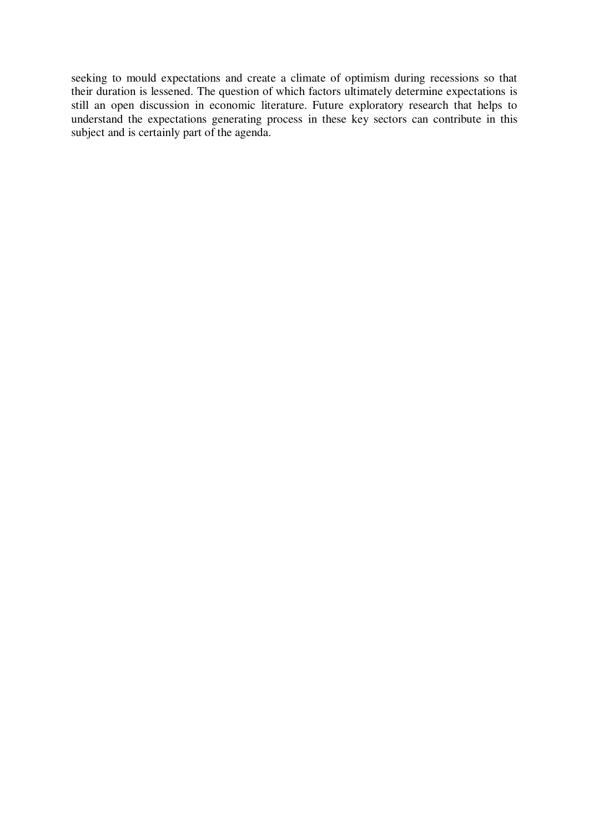seeking to mould expectations and create a climate of optimism during recessions so that their duration is lessened. The question of which factors ultimately determine expectations is still an open discussion in economic literature. Future exploratory research that helps to understand the expectations generating process in these key sectors can contribute in this subject and is certainly part of the agenda.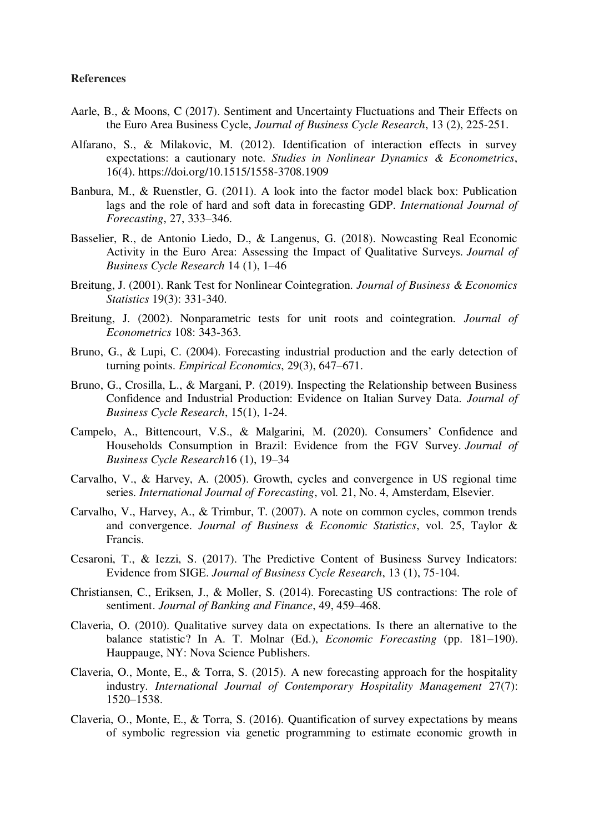#### **References**

- Aarle, B., & Moons, C (2017). Sentiment and Uncertainty Fluctuations and Their Effects on the Euro Area Business Cycle, *Journal of Business Cycle Research*, 13 (2), 225-251.
- Alfarano, S., & Milakovic, M. (2012). Identification of interaction effects in survey expectations: a cautionary note. *Studies in Nonlinear Dynamics & Econometrics*, 16(4). https://doi.org/10.1515/1558-3708.1909
- Banbura, M., & Ruenstler, G. (2011). A look into the factor model black box: Publication lags and the role of hard and soft data in forecasting GDP. *International Journal of Forecasting*, 27, 333–346.
- Basselier, R., de Antonio Liedo, D., & Langenus, G. (2018). Nowcasting Real Economic Activity in the Euro Area: Assessing the Impact of Qualitative Surveys. *Journal of Business Cycle Research* 14 (1), 1–46
- Breitung, J. (2001). Rank Test for Nonlinear Cointegration. *Journal of Business & Economics Statistics* 19(3): 331-340.
- Breitung, J. (2002). Nonparametric tests for unit roots and cointegration. *Journal of Econometrics* 108: 343-363.
- Bruno, G., & Lupi, C. (2004). Forecasting industrial production and the early detection of turning points. *Empirical Economics*, 29(3), 647–671.
- Bruno, G., Crosilla, L., & Margani, P. (2019). Inspecting the Relationship between Business Confidence and Industrial Production: Evidence on Italian Survey Data. *Journal of Business Cycle Research*, 15(1), 1-24.
- Campelo, A., Bittencourt, V.S., & Malgarini, M. (2020). Consumers' Confidence and Households Consumption in Brazil: Evidence from the FGV Survey. *Journal of Business Cycle Research*16 (1), 19–34
- Carvalho, V., & Harvey, A. (2005). Growth, cycles and convergence in US regional time series. *International Journal of Forecasting*, vol. 21, No. 4, Amsterdam, Elsevier.
- Carvalho, V., Harvey, A., & Trimbur, T. (2007). A note on common cycles, common trends and convergence. *Journal of Business & Economic Statistics*, vol. 25, Taylor & Francis.
- Cesaroni, T., & Iezzi, S. (2017). The Predictive Content of Business Survey Indicators: Evidence from SIGE. *Journal of Business Cycle Research*, 13 (1), 75-104.
- Christiansen, C., Eriksen, J., & Moller, S. (2014). Forecasting US contractions: The role of sentiment. *Journal of Banking and Finance*, 49, 459–468.
- Claveria, O. (2010). Qualitative survey data on expectations. Is there an alternative to the balance statistic? In A. T. Molnar (Ed.), *Economic Forecasting* (pp. 181–190). Hauppauge, NY: Nova Science Publishers.
- Claveria, O., Monte, E., & Torra, S. (2015). A new forecasting approach for the hospitality industry. *International Journal of Contemporary Hospitality Management* 27(7): 1520–1538.
- Claveria, O., Monte, E., & Torra, S. (2016). Quantification of survey expectations by means of symbolic regression via genetic programming to estimate economic growth in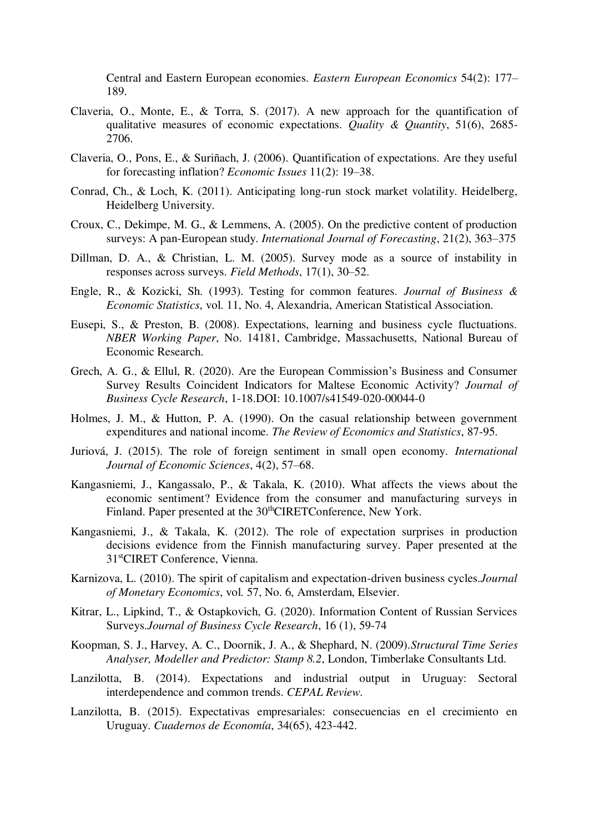Central and Eastern European economies. *Eastern European Economics* 54(2): 177– 189.

- Claveria, O., Monte, E., & Torra, S. (2017). A new approach for the quantification of qualitative measures of economic expectations. *Quality & Quantity*, 51(6), 2685- 2706.
- Claveria, O., Pons, E., & Suriñach, J. (2006). Quantification of expectations. Are they useful for forecasting inflation? *Economic Issues* 11(2): 19–38.
- Conrad, Ch., & Loch, K. (2011). Anticipating long-run stock market volatility. Heidelberg, Heidelberg University.
- Croux, C., Dekimpe, M. G., & Lemmens, A. (2005). On the predictive content of production surveys: A pan-European study. *International Journal of Forecasting*, 21(2), 363–375
- Dillman, D. A., & Christian, L. M. (2005). Survey mode as a source of instability in responses across surveys. *Field Methods*, 17(1), 30–52.
- Engle, R., & Kozicki, Sh. (1993). Testing for common features. *Journal of Business & Economic Statistics*, vol. 11, No. 4, Alexandria, American Statistical Association.
- Eusepi, S., & Preston, B. (2008). Expectations, learning and business cycle fluctuations. *NBER Working Paper*, No. 14181, Cambridge, Massachusetts, National Bureau of Economic Research.
- Grech, A. G., & Ellul, R. (2020). Are the European Commission's Business and Consumer Survey Results Coincident Indicators for Maltese Economic Activity? *Journal of Business Cycle Research*, 1-18.DOI: 10.1007/s41549-020-00044-0
- Holmes, J. M., & Hutton, P. A. (1990). On the casual relationship between government expenditures and national income. *The Review of Economics and Statistics*, 87-95.
- Juriová, J. (2015). The role of foreign sentiment in small open economy. *International Journal of Economic Sciences*, 4(2), 57–68.
- Kangasniemi, J., Kangassalo, P., & Takala, K. (2010). What affects the views about the economic sentiment? Evidence from the consumer and manufacturing surveys in Finland. Paper presented at the 30<sup>th</sup>CIRETConference, New York.
- Kangasniemi, J., & Takala, K. (2012). The role of expectation surprises in production decisions evidence from the Finnish manufacturing survey. Paper presented at the 31stCIRET Conference, Vienna.
- Karnizova, L. (2010). The spirit of capitalism and expectation-driven business cycles.*Journal of Monetary Economics*, vol. 57, No. 6, Amsterdam, Elsevier.
- Kitrar, L., Lipkind, T., & Ostapkovich, G. (2020). Information Content of Russian Services Surveys.*Journal of Business Cycle Research*, 16 (1), 59-74
- Koopman, S. J., Harvey, A. C., Doornik, J. A., & Shephard, N. (2009).*Structural Time Series Analyser, Modeller and Predictor: Stamp 8.2*, London, Timberlake Consultants Ltd.
- Lanzilotta, B. (2014). Expectations and industrial output in Uruguay: Sectoral interdependence and common trends. *CEPAL Review*.
- Lanzilotta, B. (2015). Expectativas empresariales: consecuencias en el crecimiento en Uruguay. *Cuadernos de Economía*, 34(65), 423-442.